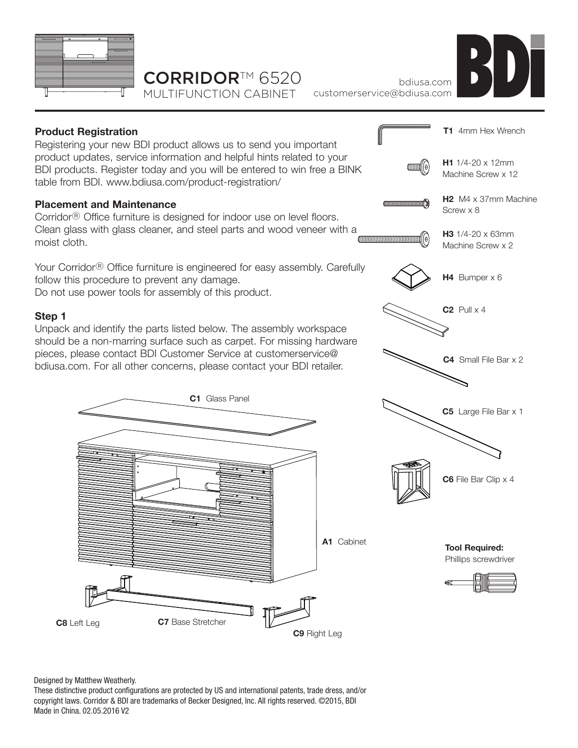

# CORRIDOR<sup>™</sup> 6520

MULTIFUNCTION CABINET



bdiusa.com customerservice@bdiusa.com



#### Designed by Matthew Weatherly.

These distinctive product configurations are protected by US and international patents, trade dress, and/or copyright laws. Corridor & BDI are trademarks of Becker Designed, Inc. All rights reserved. ©2015, BDI Made in China. 02.05.2016 V2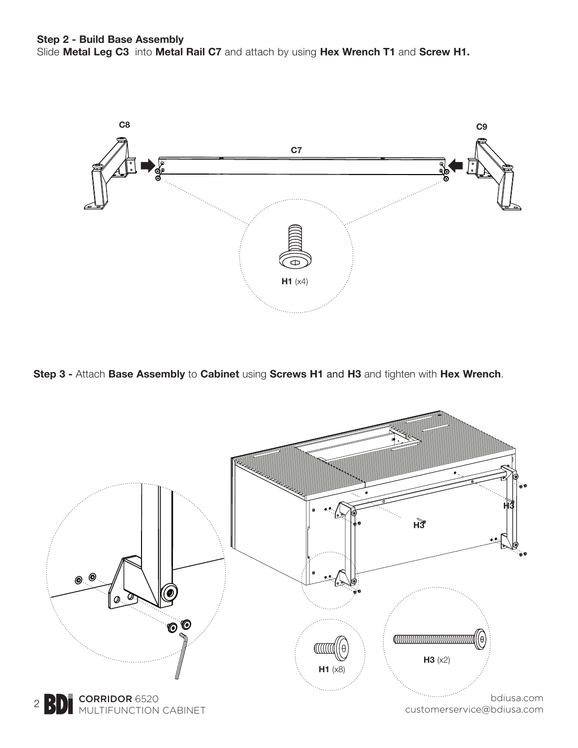

**Step 3 -** Attach **Base Assembly** to **Cabinet** using **Screws H1** and **H3** and tighten with **Hex Wrench**.

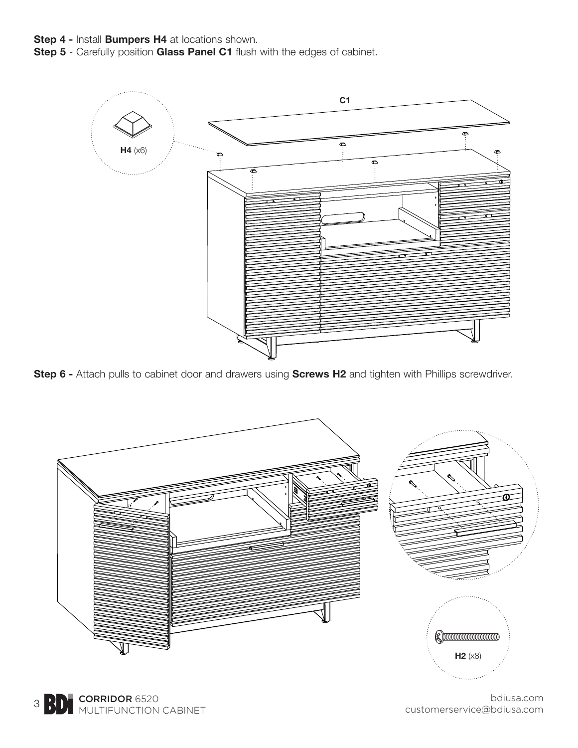- **Step 4** Install **Bumpers H4** at locations shown.
- **Step 5** Carefully position **Glass Panel C1** flush with the edges of cabinet.



**Step 6 -** Attach pulls to cabinet door and drawers using **Screws H2** and tighten with Phillips screwdriver.



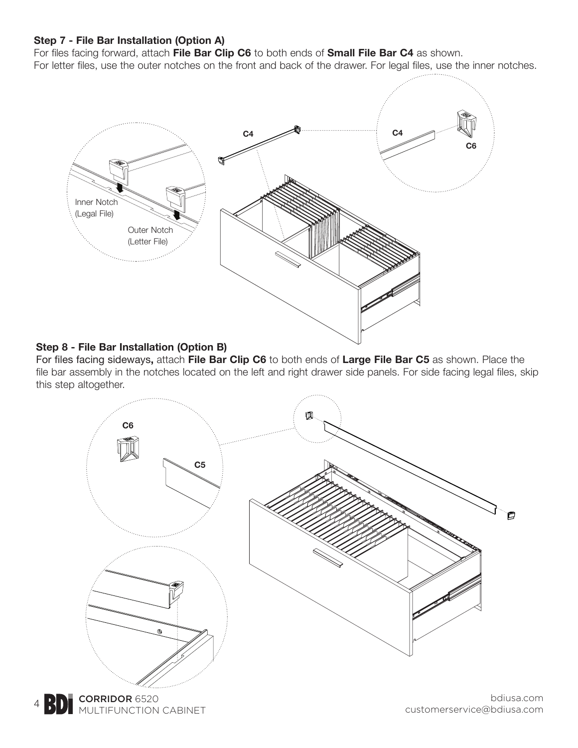#### **Step 7 - File Bar Installation (Option A)**

For files facing forward, attach **File Bar Clip C6** to both ends of **Small File Bar C4** as shown.

For letter files, use the outer notches on the front and back of the drawer. For legal files, use the inner notches.



### **Step 8 - File Bar Installation (Option B)**

For files facing sideways**,** attach **File Bar Clip C6** to both ends of **Large File Bar C5** as shown. Place the file bar assembly in the notches located on the left and right drawer side panels. For side facing legal files, skip this step altogether.



CORRIDOR 6520 4 **BDI** MULTIFUNCTION CABINET